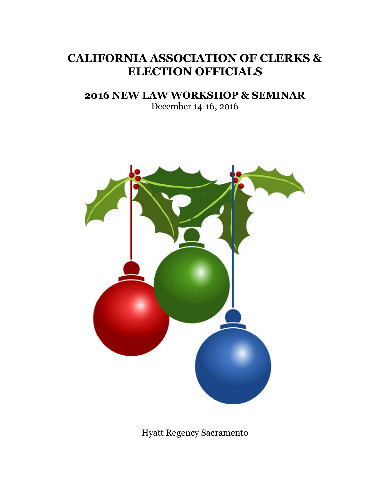# **CALIFORNIA ASSOCIATION OF CLERKS & ELECTION OFFICIALS**

### **2016 NEW LAW WORKSHOP & SEMINAR**

December 14-16, 2016



Hyatt Regency Sacramento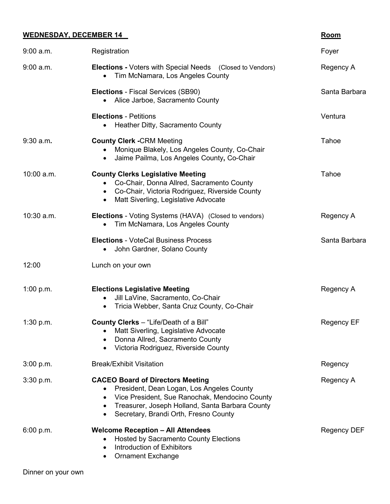### **WEDNESDAY, DECEMBER 14 Room**

| $9:00$ a.m. | Registration                                                                                                                                                                                                                                    | Foyer              |
|-------------|-------------------------------------------------------------------------------------------------------------------------------------------------------------------------------------------------------------------------------------------------|--------------------|
| $9:00$ a.m. | <b>Elections - Voters with Special Needs</b> (Closed to Vendors)<br>Tim McNamara, Los Angeles County                                                                                                                                            | Regency A          |
|             | <b>Elections</b> - Fiscal Services (SB90)<br>Alice Jarboe, Sacramento County                                                                                                                                                                    | Santa Barbara      |
|             | <b>Elections - Petitions</b><br>• Heather Ditty, Sacramento County                                                                                                                                                                              | Ventura            |
| $9:30$ a.m. | <b>County Clerk -CRM Meeting</b><br>Monique Blakely, Los Angeles County, Co-Chair<br>Jaime Pailma, Los Angeles County, Co-Chair<br>$\bullet$                                                                                                    | Tahoe              |
| 10:00 a.m.  | <b>County Clerks Legislative Meeting</b><br>• Co-Chair, Donna Allred, Sacramento County<br>• Co-Chair, Victoria Rodriguez, Riverside County<br>Matt Siverling, Legislative Advocate<br>$\bullet$                                                | Tahoe              |
| 10:30 a.m.  | <b>Elections</b> - Voting Systems (HAVA) (Closed to vendors)<br>Tim McNamara, Los Angeles County<br>$\bullet$                                                                                                                                   | Regency A          |
|             | <b>Elections - VoteCal Business Process</b><br>John Gardner, Solano County                                                                                                                                                                      | Santa Barbara      |
| 12:00       | Lunch on your own                                                                                                                                                                                                                               |                    |
| 1:00 p.m.   | <b>Elections Legislative Meeting</b><br>Jill LaVine, Sacramento, Co-Chair<br>Tricia Webber, Santa Cruz County, Co-Chair<br>$\bullet$                                                                                                            | Regency A          |
| 1:30 p.m.   | County Clerks - "Life/Death of a Bill"<br>Matt Siverling, Legislative Advocate<br>Donna Allred, Sacramento County<br>Victoria Rodriguez, Riverside County                                                                                       | <b>Regency EF</b>  |
| 3:00 p.m.   | <b>Break/Exhibit Visitation</b>                                                                                                                                                                                                                 | Regency            |
| 3:30 p.m.   | <b>CACEO Board of Directors Meeting</b><br>President, Dean Logan, Los Angeles County<br>Vice President, Sue Ranochak, Mendocino County<br>Treasurer, Joseph Holland, Santa Barbara County<br>Secretary, Brandi Orth, Fresno County<br>$\bullet$ | Regency A          |
| 6:00 p.m.   | <b>Welcome Reception - All Attendees</b><br><b>Hosted by Sacramento County Elections</b><br>Introduction of Exhibitors<br><b>Ornament Exchange</b><br>$\bullet$                                                                                 | <b>Regency DEF</b> |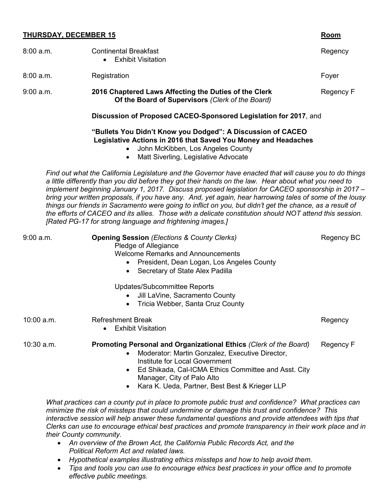### **THURSDAY, DECEMBER 15 Room**

| 8:00a.m.     | <b>Continental Breakfast</b><br><b>Exhibit Visitation</b>                                                                                                                                                                                                                                                                                                                                                                                                                                                                                                                                                                                                                                                             | Regency    |
|--------------|-----------------------------------------------------------------------------------------------------------------------------------------------------------------------------------------------------------------------------------------------------------------------------------------------------------------------------------------------------------------------------------------------------------------------------------------------------------------------------------------------------------------------------------------------------------------------------------------------------------------------------------------------------------------------------------------------------------------------|------------|
| 8:00 a.m.    | Registration                                                                                                                                                                                                                                                                                                                                                                                                                                                                                                                                                                                                                                                                                                          | Foyer      |
| $9:00$ a.m.  | 2016 Chaptered Laws Affecting the Duties of the Clerk<br>Of the Board of Supervisors (Clerk of the Board)                                                                                                                                                                                                                                                                                                                                                                                                                                                                                                                                                                                                             | Regency F  |
|              | Discussion of Proposed CACEO-Sponsored Legislation for 2017, and                                                                                                                                                                                                                                                                                                                                                                                                                                                                                                                                                                                                                                                      |            |
|              | "Bullets You Didn't Know you Dodged": A Discussion of CACEO<br>Legislative Actions in 2016 that Saved You Money and Headaches<br>John McKibben, Los Angeles County<br>Matt Siverling, Legislative Advocate<br>$\bullet$                                                                                                                                                                                                                                                                                                                                                                                                                                                                                               |            |
|              | Find out what the California Legislature and the Governor have enacted that will cause you to do things<br>a little differently than you did before they got their hands on the law. Hear about what you need to<br>implement beginning January 1, 2017. Discuss proposed legislation for CACEO sponsorship in 2017 -<br>bring your written proposals, if you have any. And, yet again, hear harrowing tales of some of the lousy<br>things our friends in Sacramento were going to inflict on you, but didn't get the chance, as a result of<br>the efforts of CACEO and its allies. Those with a delicate constitution should NOT attend this session.<br>[Rated PG-17 for strong language and frightening images.] |            |
| $9:00$ a.m.  | <b>Opening Session (Elections &amp; County Clerks)</b><br>Pledge of Allegiance<br><b>Welcome Remarks and Announcements</b><br>President, Dean Logan, Los Angeles County<br>$\bullet$<br>Secretary of State Alex Padilla<br>$\bullet$<br>Updates/Subcommittee Reports<br>Jill LaVine, Sacramento County<br>$\bullet$<br>Tricia Webber, Santa Cruz County<br>$\bullet$                                                                                                                                                                                                                                                                                                                                                  | Regency BC |
| $10:00$ a.m. | <b>Refreshment Break</b><br><b>Exhibit Visitation</b>                                                                                                                                                                                                                                                                                                                                                                                                                                                                                                                                                                                                                                                                 | Regency    |
| $10:30$ a.m. | Promoting Personal and Organizational Ethics (Clerk of the Board)<br>Moderator: Martin Gonzalez, Executive Director,<br>$\bullet$<br>Institute for Local Government<br>Ed Shikada, Cal-ICMA Ethics Committee and Asst. City<br>$\bullet$<br>Manager, City of Palo Alto<br>Kara K. Ueda, Partner, Best Best & Krieger LLP<br>$\bullet$                                                                                                                                                                                                                                                                                                                                                                                 | Regency F  |
|              | What practices can a county put in place to promote public trust and confidence? What practices can                                                                                                                                                                                                                                                                                                                                                                                                                                                                                                                                                                                                                   |            |

*What practices can a county put in place to promote public trust and confidence? What practices can minimize the risk of missteps that could undermine or damage this trust and confidence? This interactive session will help answer these fundamental questions and provide attendees with tips that Clerks can use to encourage ethical best practices and promote transparency in their work place and in their County community.* 

- *An overview of the Brown Act, the California Public Records Act, and the Political Reform Act and related laws.*
- *Hypothetical examples illustrating ethics missteps and how to help avoid them.*
- *Tips and tools you can use to encourage ethics best practices in your office and to promote effective public meetings.*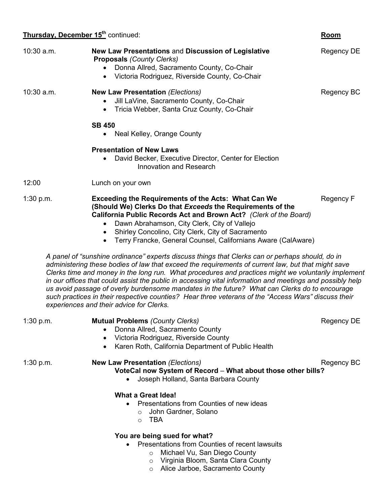### **Thursday, December 15th** continued: **Room**

|             | <b>That saay, December 10</b> Continued.                                                                                                                                                                                                                                                                                                                                                                                                                                                                                                                                                                                                                                      | יייטטיי    |
|-------------|-------------------------------------------------------------------------------------------------------------------------------------------------------------------------------------------------------------------------------------------------------------------------------------------------------------------------------------------------------------------------------------------------------------------------------------------------------------------------------------------------------------------------------------------------------------------------------------------------------------------------------------------------------------------------------|------------|
| 10:30 a.m.  | New Law Presentations and Discussion of Legislative<br><b>Proposals (County Clerks)</b><br>Donna Allred, Sacramento County, Co-Chair<br>Victoria Rodriguez, Riverside County, Co-Chair                                                                                                                                                                                                                                                                                                                                                                                                                                                                                        | Regency DE |
| 10:30 a.m.  | <b>New Law Presentation (Elections)</b><br>Jill LaVine, Sacramento County, Co-Chair<br>Tricia Webber, Santa Cruz County, Co-Chair<br>$\bullet$                                                                                                                                                                                                                                                                                                                                                                                                                                                                                                                                | Regency BC |
|             | <b>SB 450</b><br>Neal Kelley, Orange County                                                                                                                                                                                                                                                                                                                                                                                                                                                                                                                                                                                                                                   |            |
|             | <b>Presentation of New Laws</b><br>David Becker, Executive Director, Center for Election<br>$\bullet$<br>Innovation and Research                                                                                                                                                                                                                                                                                                                                                                                                                                                                                                                                              |            |
| 12:00       | Lunch on your own                                                                                                                                                                                                                                                                                                                                                                                                                                                                                                                                                                                                                                                             |            |
| 1:30 p.m.   | <b>Exceeding the Requirements of the Acts: What Can We</b><br>(Should We) Clerks Do that Exceeds the Requirements of the<br>California Public Records Act and Brown Act? (Clerk of the Board)<br>Dawn Abrahamson, City Clerk, City of Vallejo<br>$\bullet$<br>Shirley Concolino, City Clerk, City of Sacramento<br>$\bullet$<br>Terry Francke, General Counsel, Californians Aware (CalAware)<br>$\bullet$                                                                                                                                                                                                                                                                    | Regency F  |
|             | A panel of "sunshine ordinance" experts discuss things that Clerks can or perhaps should, do in<br>administering these bodies of law that exceed the requirements of current law, but that might save<br>Clerks time and money in the long run. What procedures and practices might we voluntarily implement<br>in our offices that could assist the public in accessing vital information and meetings and possibly help<br>us avoid passage of overly burdensome mandates in the future? What can Clerks do to encourage<br>such practices in their respective counties? Hear three veterans of the "Access Wars" discuss their<br>experiences and their advice for Clerks. |            |
| $1:30$ p.m. | <b>Mutual Problems (County Clerks)</b><br>Donna Allred, Sacramento County<br>Victoria Rodriguez, Riverside County<br>$\bullet$<br>Karen Roth, California Department of Public Health<br>$\bullet$                                                                                                                                                                                                                                                                                                                                                                                                                                                                             | Regency DE |
| 1:30 p.m.   | <b>New Law Presentation (Elections)</b>                                                                                                                                                                                                                                                                                                                                                                                                                                                                                                                                                                                                                                       | Regency BC |

**VoteCal now System of Record** – **What about those other bills?** • Joseph Holland, Santa Barbara County

### **What a Great Idea!**

- Presentations from Counties of new ideas
	- o John Gardner, Solano
	- o TBA

### **You are being sued for what?**

- Presentations from Counties of recent lawsuits
	- o Michael Vu, San Diego County
	- o Virginia Bloom, Santa Clara County
	- o Alice Jarboe, Sacramento County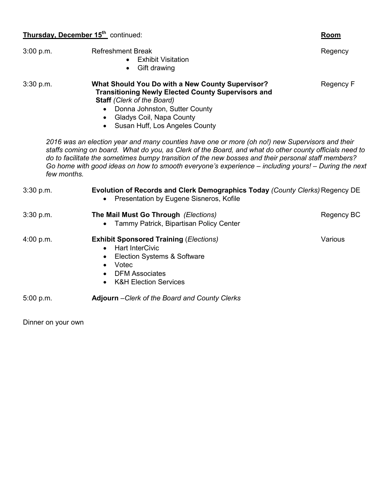## **Thursday, December 15th** continued: **Room**

| 3:00 p.m.   | <b>Refreshment Break</b><br><b>Exhibit Visitation</b><br>Gift drawing<br>$\bullet$                                                                                                                                                                                                                                                                                                                                                                                            | Regency    |
|-------------|-------------------------------------------------------------------------------------------------------------------------------------------------------------------------------------------------------------------------------------------------------------------------------------------------------------------------------------------------------------------------------------------------------------------------------------------------------------------------------|------------|
| $3:30$ p.m. | What Should You Do with a New County Supervisor?<br><b>Transitioning Newly Elected County Supervisors and</b><br><b>Staff</b> (Clerk of the Board)<br>Donna Johnston, Sutter County<br>Gladys Coil, Napa County<br>$\bullet$<br>• Susan Huff, Los Angeles County<br>2016 was an election year and many counties have one or more (oh no!) new Supervisors and their<br>staffs coming on board. What do you, as Clerk of the Board, and what do other county officials need to | Regency F  |
| few months. | do to facilitate the sometimes bumpy transition of the new bosses and their personal staff members?<br>Go home with good ideas on how to smooth everyone's experience - including yours! - During the next                                                                                                                                                                                                                                                                    |            |
| 3:30 p.m.   | Evolution of Records and Clerk Demographics Today (County Clerks) Regency DE<br>Presentation by Eugene Sisneros, Kofile                                                                                                                                                                                                                                                                                                                                                       |            |
| 3:30 p.m.   | The Mail Must Go Through (Elections)<br>Tammy Patrick, Bipartisan Policy Center                                                                                                                                                                                                                                                                                                                                                                                               | Regency BC |
| 4:00 p.m.   | <b>Exhibit Sponsored Training (Elections)</b><br><b>Hart InterCivic</b><br>$\bullet$<br>Election Systems & Software<br>$\bullet$<br>Votec<br>$\bullet$<br><b>DFM Associates</b><br>$\bullet$<br><b>K&amp;H Election Services</b>                                                                                                                                                                                                                                              | Various    |
| 5:00 p.m.   | Adjourn - Clerk of the Board and County Clerks                                                                                                                                                                                                                                                                                                                                                                                                                                |            |

Dinner on your own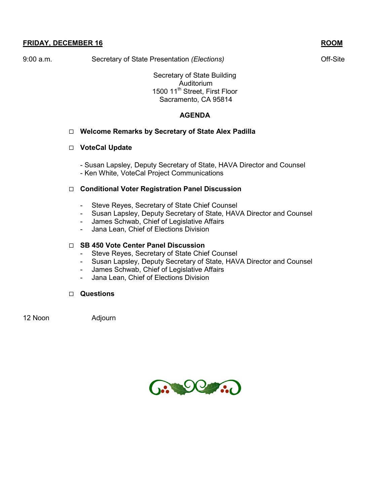9:00 a.m. Secretary of State Presentation *(Elections)* 6.1 Contract Constants Contracted Constants Constants Constants Constants Constants Constants Constants Constants Constants Constants Constants Constants Constants Co

Secretary of State Building Auditorium 1500 11<sup>th</sup> Street, First Floor Sacramento, CA 95814

### **AGENDA**

### **Welcome Remarks by Secretary of State Alex Padilla**

#### **VoteCal Update**

- Susan Lapsley, Deputy Secretary of State, HAVA Director and Counsel - Ken White, VoteCal Project Communications

### **Conditional Voter Registration Panel Discussion**

- Steve Reyes, Secretary of State Chief Counsel
- Susan Lapsley, Deputy Secretary of State, HAVA Director and Counsel
- James Schwab, Chief of Legislative Affairs<br>- Jana Lean, Chief of Elections Division
- Jana Lean, Chief of Elections Division

### **SB 450 Vote Center Panel Discussion**

- Steve Reyes, Secretary of State Chief Counsel
- Susan Lapsley, Deputy Secretary of State, HAVA Director and Counsel
- James Schwab, Chief of Legislative Affairs
- Jana Lean, Chief of Elections Division

### **Questions**

12 Noon Adjourn

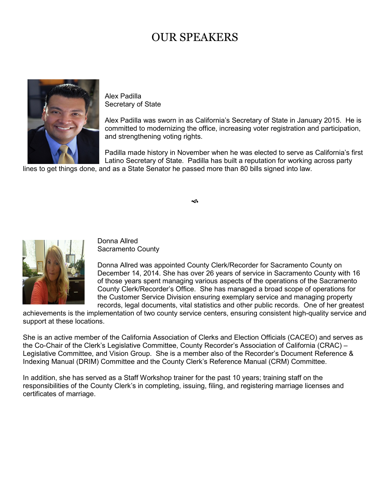# OUR SPEAKERS



Alex Padilla Secretary of State

Alex Padilla was sworn in as California's Secretary of State in January 2015. He is committed to modernizing the office, increasing voter registration and participation, and strengthening voting rights.

Padilla made history in November when he was elected to serve as California's first Latino Secretary of State. Padilla has built a reputation for working across party

lines to get things done, and as a State Senator he passed more than 80 bills signed into law.

∽



Donna Allred Sacramento County

Donna Allred was appointed County Clerk/Recorder for Sacramento County on December 14, 2014. She has over 26 years of service in Sacramento County with 16 of those years spent managing various aspects of the operations of the Sacramento County Clerk/Recorder's Office. She has managed a broad scope of operations for the Customer Service Division ensuring exemplary service and managing property records, legal documents, vital statistics and other public records. One of her greatest

achievements is the implementation of two county service centers, ensuring consistent high-quality service and support at these locations.

She is an active member of the California Association of Clerks and Election Officials (CACEO) and serves as the Co-Chair of the Clerk's Legislative Committee, County Recorder's Association of California (CRAC) – Legislative Committee, and Vision Group. She is a member also of the Recorder's Document Reference & Indexing Manual (DRIM) Committee and the County Clerk's Reference Manual (CRM) Committee.

In addition, she has served as a Staff Workshop trainer for the past 10 years; training staff on the responsibilities of the County Clerk's in completing, issuing, filing, and registering marriage licenses and certificates of marriage.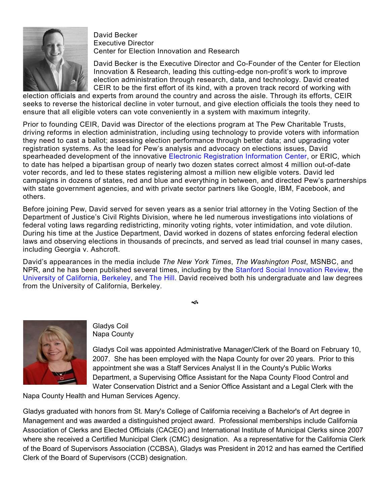

David Becker Executive Director Center for Election Innovation and Research

David Becker is the Executive Director and Co-Founder of the Center for Election Innovation & Research, leading this cutting-edge non-profit's work to improve election administration through research, data, and technology. David created CEIR to be the first effort of its kind, with a proven track record of working with

election officials and experts from around the country and across the aisle. Through its efforts, CEIR seeks to reverse the historical decline in voter turnout, and give election officials the tools they need to ensure that all eligible voters can vote conveniently in a system with maximum integrity.

Prior to founding CEIR, David was Director of the elections program at The Pew Charitable Trusts, driving reforms in election administration, including using technology to provide voters with information they need to cast a ballot; assessing election performance through better data; and upgrading voter registration systems. As the lead for Pew's analysis and advocacy on elections issues, David spearheaded development of the innovative [Electronic Registration Information Center,](http://www.ericstates.org/) or ERIC, which to date has helped a bipartisan group of nearly two dozen states correct almost 4 million out-of-date voter records, and led to these states registering almost a million new eligible voters. David led campaigns in dozens of states, red and blue and everything in between, and directed Pew's partnerships with state government agencies, and with private sector partners like Google, IBM, Facebook, and others.

Before joining Pew, David served for seven years as a senior trial attorney in the Voting Section of the Department of Justice's Civil Rights Division, where he led numerous investigations into violations of federal voting laws regarding redistricting, minority voting rights, voter intimidation, and vote dilution. During his time at the Justice Department, David worked in dozens of states enforcing federal election laws and observing elections in thousands of precincts, and served as lead trial counsel in many cases, including Georgia v. Ashcroft.

David's appearances in the media include *The New York Times*, *The Washington Post*, MSNBC, and NPR, and he has been published several times, including by the [Stanford Social Innovation Review,](http://ssir.org/articles/entry/a_new_approach_to_reversing_the_downward_spiral_of_low_turnout) the University [of California, Berkeley,](https://www.law.berkeley.edu/files/ch_9_becker_3-9-07.pdf) and [The Hill.](http://thehill.com/opinion/op-ed/67051-fact-based-election-reform-for-military-and-overseas-voters) David received both his undergraduate and law degrees from the University of California, Berkeley.

⊲ธิ



Gladys Coil Napa County

Gladys Coil was appointed Administrative Manager/Clerk of the Board on February 10, 2007. She has been employed with the Napa County for over 20 years. Prior to this appointment she was a Staff Services Analyst II in the County's Public Works Department, a Supervising Office Assistant for the Napa County Flood Control and Water Conservation District and a Senior Office Assistant and a Legal Clerk with the

Napa County Health and Human Services Agency.

Gladys graduated with honors from St. Mary's College of California receiving a Bachelor's of Art degree in Management and was awarded a distinguished project award. Professional memberships include California Association of Clerks and Elected Officials (CACEO) and International Institute of Municipal Clerks since 2007 where she received a Certified Municipal Clerk (CMC) designation. As a representative for the California Clerk of the Board of Supervisors Association (CCBSA), Gladys was President in 2012 and has earned the Certified Clerk of the Board of Supervisors (CCB) designation.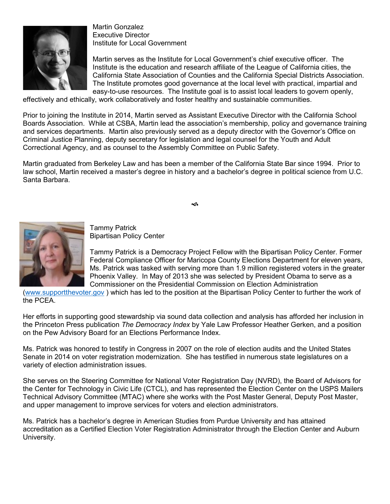

Martin Gonzalez Executive Director Institute for Local Government

Martin serves as the Institute for Local Government's chief executive officer. The Institute is the education and research affiliate of the League of California cities, the California State Association of Counties and the California Special Districts Association. The Institute promotes good governance at the local level with practical, impartial and easy-to-use resources. The Institute goal is to assist local leaders to govern openly,

effectively and ethically, work collaboratively and foster healthy and sustainable communities.

Prior to joining the Institute in 2014, Martin served as Assistant Executive Director with the California School Boards Association. While at CSBA, Martin lead the association's membership, policy and governance training and services departments. Martin also previously served as a deputy director with the Governor's Office on Criminal Justice Planning, deputy secretary for legislation and legal counsel for the Youth and Adult Correctional Agency, and as counsel to the Assembly Committee on Public Safety.

Martin graduated from Berkeley Law and has been a member of the California State Bar since 1994. Prior to law school, Martin received a master's degree in history and a bachelor's degree in political science from U.C. Santa Barbara.





Tammy Patrick Bipartisan Policy Center

Tammy Patrick is a Democracy Project Fellow with the Bipartisan Policy Center. Former Federal Compliance Officer for Maricopa County Elections Department for eleven years, Ms. Patrick was tasked with serving more than 1.9 million registered voters in the greater Phoenix Valley. In May of 2013 she was selected by President Obama to serve as a Commissioner on the Presidential Commission on Election Administration

[\(www.supportthevoter.gov](http://www.supportthevoter.gov/) ) which has led to the position at the Bipartisan Policy Center to further the work of the PCEA.

Her efforts in supporting good stewardship via sound data collection and analysis has afforded her inclusion in the Princeton Press publication *The Democracy Index* by Yale Law Professor Heather Gerken, and a position on the Pew Advisory Board for an Elections Performance Index.

Ms. Patrick was honored to testify in Congress in 2007 on the role of election audits and the United States Senate in 2014 on voter registration modernization. She has testified in numerous state legislatures on a variety of election administration issues.

She serves on the Steering Committee for National Voter Registration Day (NVRD), the Board of Advisors for the Center for Technology in Civic Life (CTCL), and has represented the Election Center on the USPS Mailers Technical Advisory Committee (MTAC) where she works with the Post Master General, Deputy Post Master, and upper management to improve services for voters and election administrators.

Ms. Patrick has a bachelor's degree in American Studies from Purdue University and has attained accreditation as a Certified Election Voter Registration Administrator through the Election Center and Auburn University.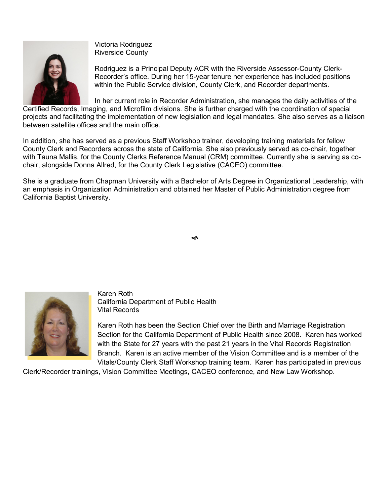

Victoria Rodriguez Riverside County

Rodriguez is a Principal Deputy ACR with the Riverside Assessor-County Clerk-Recorder's office. During her 15-year tenure her experience has included positions within the Public Service division, County Clerk, and Recorder departments.

In her current role in Recorder Administration, she manages the daily activities of the Certified Records, Imaging, and Microfilm divisions. She is further charged with the coordination of special projects and facilitating the implementation of new legislation and legal mandates. She also serves as a liaison between satellite offices and the main office.

In addition, she has served as a previous Staff Workshop trainer, developing training materials for fellow County Clerk and Recorders across the state of California. She also previously served as co-chair, together with Tauna Mallis, for the County Clerks Reference Manual (CRM) committee. Currently she is serving as cochair, alongside Donna Allred, for the County Clerk Legislative (CACEO) committee.

She is a graduate from Chapman University with a Bachelor of Arts Degree in Organizational Leadership, with an emphasis in Organization Administration and obtained her Master of Public Administration degree from California Baptist University.



Karen Roth California Department of Public Health Vital Records

Karen Roth has been the Section Chief over the Birth and Marriage Registration Section for the California Department of Public Health since 2008. Karen has worked with the State for 27 years with the past 21 years in the Vital Records Registration Branch. Karen is an active member of the Vision Committee and is a member of the Vitals/County Clerk Staff Workshop training team. Karen has participated in previous

Clerk/Recorder trainings, Vision Committee Meetings, CACEO conference, and New Law Workshop.

∽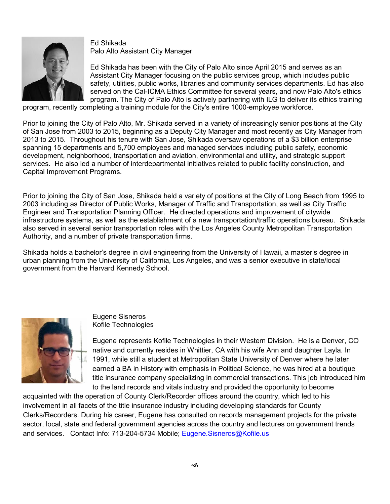

Ed Shikada Palo Alto Assistant City Manager

Ed Shikada has been with the City of Palo Alto since April 2015 and serves as an Assistant City Manager focusing on the public services group, which includes public safety, utilities, public works, libraries and community services departments. Ed has also served on the Cal-ICMA Ethics Committee for several years, and now Palo Alto's ethics program. The City of Palo Alto is actively partnering with ILG to deliver its ethics training

program, recently completing a training module for the City's entire 1000-employee workforce.

Prior to joining the City of Palo Alto, Mr. Shikada served in a variety of increasingly senior positions at the City of San Jose from 2003 to 2015, beginning as a Deputy City Manager and most recently as City Manager from 2013 to 2015. Throughout his tenure with San Jose, Shikada oversaw operations of a \$3 billion enterprise spanning 15 departments and 5,700 employees and managed services including public safety, economic development, neighborhood, transportation and aviation, environmental and utility, and strategic support services. He also led a number of interdepartmental initiatives related to public facility construction, and Capital Improvement Programs.

Prior to joining the City of San Jose, Shikada held a variety of positions at the City of Long Beach from 1995 to 2003 including as Director of Public Works, Manager of Traffic and Transportation, as well as City Traffic Engineer and Transportation Planning Officer. He directed operations and improvement of citywide infrastructure systems, as well as the establishment of a new transportation/traffic operations bureau. Shikada also served in several senior transportation roles with the Los Angeles County Metropolitan Transportation Authority, and a number of private transportation firms.

Shikada holds a bachelor's degree in civil engineering from the University of Hawaii, a master's degree in urban planning from the University of California, Los Angeles, and was a senior executive in state/local government from the Harvard Kennedy School.



Eugene Sisneros Kofile Technologies

Eugene represents Kofile Technologies in their Western Division. He is a Denver, CO native and currently resides in Whittier, CA with his wife Ann and daughter Layla. In 1991, while still a student at Metropolitan State University of Denver where he later earned a BA in History with emphasis in Political Science, he was hired at a boutique title insurance company specializing in commercial transactions. This job introduced him to the land records and vitals industry and provided the opportunity to become

acquainted with the operation of County Clerk/Recorder offices around the country, which led to his involvement in all facets of the title insurance industry including developing standards for County Clerks/Recorders. During his career, Eugene has consulted on records management projects for the private sector, local, state and federal government agencies across the country and lectures on government trends and services. Contact Info: 713-204-5734 Mobile; Eugene. Sisneros@Kofile.us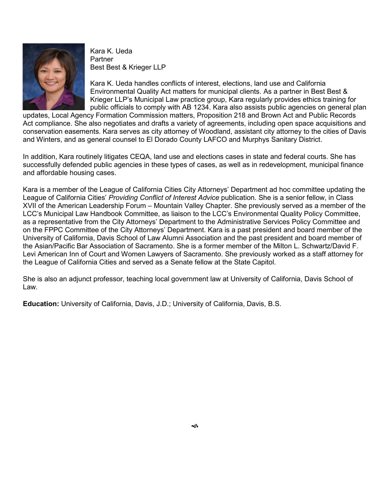

Kara K. Ueda Partner Best Best & Krieger LLP

Kara K. Ueda handles conflicts of interest, elections, land use and California Environmental Quality Act matters for municipal clients. As a partner in Best Best & Krieger LLP's Municipal Law practice group, Kara regularly provides ethics training for public officials to comply with AB 1234. Kara also assists public agencies on general plan

updates, Local Agency Formation Commission matters, Proposition 218 and Brown Act and Public Records Act compliance. She also negotiates and drafts a variety of agreements, including open space acquisitions and conservation easements. Kara serves as city attorney of Woodland, assistant city attorney to the cities of Davis and Winters, and as general counsel to El Dorado County LAFCO and Murphys Sanitary District.

In addition, Kara routinely litigates CEQA, land use and elections cases in state and federal courts. She has successfully defended public agencies in these types of cases, as well as in redevelopment, municipal finance and affordable housing cases.

Kara is a member of the League of California Cities City Attorneys' Department ad hoc committee updating the League of California Cities' *Providing Conflict of Interest Advice* publication. She is a senior fellow, in Class XVII of the American Leadership Forum – Mountain Valley Chapter. She previously served as a member of the LCC's Municipal Law Handbook Committee, as liaison to the LCC's Environmental Quality Policy Committee, as a representative from the City Attorneys' Department to the Administrative Services Policy Committee and on the FPPC Committee of the City Attorneys' Department. Kara is a past president and board member of the University of California, Davis School of Law Alumni Association and the past president and board member of the Asian/Pacific Bar Association of Sacramento. She is a former member of the Milton L. Schwartz/David F. Levi American Inn of Court and Women Lawyers of Sacramento. She previously worked as a staff attorney for the League of California Cities and served as a Senate fellow at the State Capitol.

She is also an adjunct professor, teaching local government law at University of California, Davis School of Law.

**Education:** University of California, Davis, J.D.; University of California, Davis, B.S.